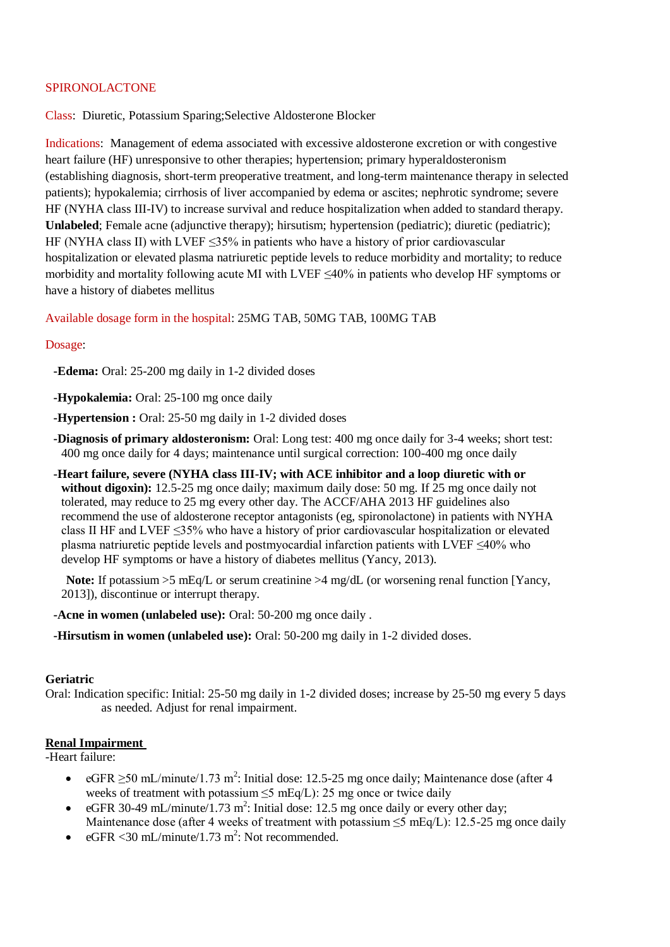# SPIRONOLACTONE

Class: Diuretic, Potassium Sparing;Selective Aldosterone Blocker

Indications: Management of edema associated with excessive aldosterone excretion or with congestive heart failure (HF) unresponsive to other therapies; hypertension; primary hyperaldosteronism (establishing diagnosis, short-term preoperative treatment, and long-term maintenance therapy in selected patients); hypokalemia; cirrhosis of liver accompanied by edema or ascites; nephrotic syndrome; severe HF (NYHA class III-IV) to increase survival and reduce hospitalization when added to standard therapy. **Unlabeled**; Female acne (adjunctive therapy); hirsutism; hypertension (pediatric); diuretic (pediatric); HF (NYHA class II) with LVEF ≤35% in patients who have a history of prior cardiovascular hospitalization or elevated plasma natriuretic peptide levels to reduce morbidity and mortality; to reduce morbidity and mortality following acute MI with LVEF ≤40% in patients who develop HF symptoms or have a history of diabetes mellitus

Available dosage form in the hospital: 25MG TAB, 50MG TAB, 100MG TAB

# Dosage:

**-Edema:** Oral: 25-200 mg daily in 1-2 divided doses

- **-Hypokalemia:** Oral: 25-100 mg once daily
- **-Hypertension :** Oral: 25-50 mg daily in 1-2 divided doses
- **-Diagnosis of primary aldosteronism:** Oral: Long test: 400 mg once daily for 3-4 weeks; short test: 400 mg once daily for 4 days; maintenance until surgical correction: 100-400 mg once daily
- **-Heart failure, severe (NYHA class III-IV; with ACE inhibitor and a loop diuretic with or without digoxin):** 12.5-25 mg once daily; maximum daily dose: 50 mg. If 25 mg once daily not tolerated, may reduce to 25 mg every other day. The ACCF/AHA 2013 HF guidelines also recommend the use of aldosterone receptor antagonists (eg, spironolactone) in patients with NYHA class II HF and LVEF ≤35% who have a history of prior cardiovascular hospitalization or elevated plasma natriuretic peptide levels and postmyocardial infarction patients with LVEF ≤40% who develop HF symptoms or have a history of diabetes mellitus (Yancy, 2013).

**Note:** If potassium  $>5$  mEq/L or serum creatinine  $>4$  mg/dL (or worsening renal function [Yancy, 2013]), discontinue or interrupt therapy.

- **-Acne in women (unlabeled use):** Oral: 50-200 mg once daily .
- **-Hirsutism in women (unlabeled use):** Oral: 50-200 mg daily in 1-2 divided doses.

### **Geriatric**

Oral: Indication specific: Initial: 25-50 mg daily in 1-2 divided doses; increase by 25-50 mg every 5 days as needed. Adjust for renal impairment.

### **Renal Impairment**

-Heart failure:

- eGFR  $\geq$ 50 mL/minute/1.73 m<sup>2</sup>: Initial dose: 12.5-25 mg once daily; Maintenance dose (after 4 weeks of treatment with potassium ≤5 mEq/L): 25 mg once or twice daily
- eGFR 30-49 mL/minute/1.73 m<sup>2</sup>: Initial dose: 12.5 mg once daily or every other day; Maintenance dose (after 4 weeks of treatment with potassium  $\leq$  mEq/L): 12.5-25 mg once daily
- eGFR < 30 mL/minute/1.73 m<sup>2</sup>: Not recommended.